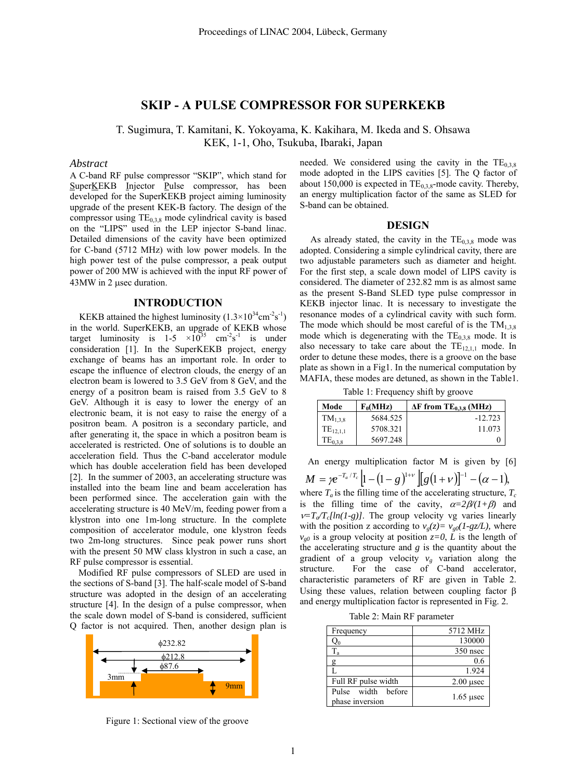# **SKIP - A PULSE COMPRESSOR FOR SUPERKEKB**

T. Sugimura, T. Kamitani, K. Yokoyama, K. Kakihara, M. Ikeda and S. Ohsawa KEK, 1-1, Oho, Tsukuba, Ibaraki, Japan

## *Abstract*

A C-band RF pulse compressor "SKIP", which stand for SuperKEKB Injector Pulse compressor, has been developed for the SuperKEKB project aiming luminosity upgrade of the present KEK-B factory. The design of the compressor using  $TE_{0,3,8}$  mode cylindrical cavity is based on the "LIPS" used in the LEP injector S-band linac. Detailed dimensions of the cavity have been optimized for C-band (5712 MHz) with low power models. In the high power test of the pulse compressor, a peak output power of 200 MW is achieved with the input RF power of 43MW in 2 µsec duration.

## **INTRODUCTION**

KEKB attained the highest luminosity  $(1.3 \times 10^{34} \text{cm}^{-2} \text{s}^{-1})$ in the world. SuperKEKB, an upgrade of KEKB whose target luminosity is  $1-5 \times 10^{35}$  cm<sup>-2</sup>s<sup>-1</sup> is under consideration [1]. In the SuperKEKB project, energy exchange of beams has an important role. In order to escape the influence of electron clouds, the energy of an electron beam is lowered to 3.5 GeV from 8 GeV, and the energy of a positron beam is raised from 3.5 GeV to 8 GeV. Although it is easy to lower the energy of an electronic beam, it is not easy to raise the energy of a positron beam. A positron is a secondary particle, and after generating it, the space in which a positron beam is accelerated is restricted. One of solutions is to double an acceleration field. Thus the C-band accelerator module which has double acceleration field has been developed [2]. In the summer of 2003, an accelerating structure was installed into the beam line and beam acceleration has been performed since. The acceleration gain with the accelerating structure is 40 MeV/m, feeding power from a klystron into one 1m-long structure. In the complete composition of accelerator module, one klystron feeds two 2m-long structures. Since peak power runs short with the present 50 MW class klystron in such a case, an RF pulse compressor is essential.

Modified RF pulse compressors of SLED are used in the sections of S-band [3]. The half-scale model of S-band structure was adopted in the design of an accelerating structure [4]. In the design of a pulse compressor, when the scale down model of S-band is considered, sufficient Q factor is not acquired. Then, another design plan is



Figure 1: Sectional view of the groove

needed. We considered using the cavity in the  $TE<sub>0.3,8</sub>$ mode adopted in the LIPS cavities [5]. The Q factor of about 150,000 is expected in  $TE_{0.38}$ -mode cavity. Thereby, an energy multiplication factor of the same as SLED for S-band can be obtained.

#### **DESIGN**

As already stated, the cavity in the  $TE<sub>0,3,8</sub>$  mode was adopted. Considering a simple cylindrical cavity, there are two adjustable parameters such as diameter and height. For the first step, a scale down model of LIPS cavity is considered. The diameter of 232.82 mm is as almost same as the present S-Band SLED type pulse compressor in KEKB injector linac. It is necessary to investigate the resonance modes of a cylindrical cavity with such form. The mode which should be most careful of is the  $TM_{1,3,8}$ mode which is degenerating with the  $TE<sub>0.3,8</sub>$  mode. It is also necessary to take care about the  $TE_{12,1,1}$  mode. In order to detune these modes, there is a groove on the base plate as shown in a Fig1. In the numerical computation by MAFIA, these modes are detuned, as shown in the Table1.

Table 1: Frequency shift by groove

| Mode          | $F_0(MHz)$ | $\Delta F$ from $TE_{0.3.8}$ (MHz) |
|---------------|------------|------------------------------------|
| $TM_{1,3,8}$  | 5684.525   | $-12.723$                          |
| $TE_{12,1,1}$ | 5708.321   | 11 073                             |
| $TE_{0,3,8}$  | 5697.248   |                                    |

An energy multiplication factor M is given by [6]

where  $T_a$  is the filling time of the accelerating structure,  $T_c$ is the filling time of the cavity,  $\alpha = 2\beta/(1+\beta)$  and  $v=T_a/T_c[ln(1-g)]$ . The group velocity vg varies linearly with the position z according to  $v_g(z) = v_{g0}(1-gz/L)$ , where  $v_{g0}$  is a group velocity at position  $z=0$ , *L* is the length of the accelerating structure and  $g$  is the quantity about the gradient of a group velocity  $v_g$  variation along the structure. For the case of C-band accelerator, characteristic parameters of RF are given in Table 2. Using these values, relation between coupling factor  $\beta$ and energy multiplication factor is represented in Fig. 2.  $M = \gamma e^{-T_a/T_c}\left[1 - \left(1 - g\right)^{1 + \nu}\right]\left[g(1 + \nu)\right]^{-1} - (\alpha - 1),$ 

|  |  |  | Table 2: Main RF parameter |
|--|--|--|----------------------------|
|--|--|--|----------------------------|

| Frequency                             | 5712 MHz         |
|---------------------------------------|------------------|
| $\mathrm{Q}_0$                        | 130000           |
| $T_{a}$                               | $350$ nsec       |
| g                                     | 0.6              |
|                                       | 1.924            |
| Full RF pulse width                   | $2.00$ $\mu$ sec |
| Pulse width before<br>phase inversion | $1.65$ µsec      |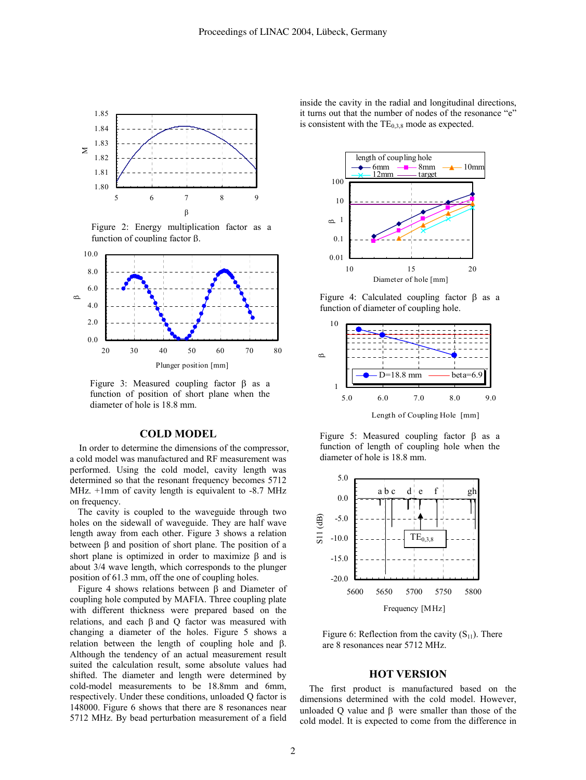

Figure 2: Energy multiplication factor as a function of coupling factor β.



Figure 3: Measured coupling factor β as a function of position of short plane when the diameter of hole is 18.8 mm.

#### **COLD MODEL**

In order to determine the dimensions of the compressor, a cold model was manufactured and RF measurement was performed. Using the cold model, cavity length was determined so that the resonant frequency becomes 5712 MHz. +1mm of cavity length is equivalent to -8.7 MHz on frequency.

The cavity is coupled to the waveguide through two holes on the sidewall of waveguide. They are half wave length away from each other. Figure 3 shows a relation between β and position of short plane. The position of a short plane is optimized in order to maximize β and is about 3/4 wave length, which corresponds to the plunger position of 61.3 mm, off the one of coupling holes.

Figure 4 shows relations between β and Diameter of coupling hole computed by MAFIA. Three coupling plate with different thickness were prepared based on the relations, and each β and Q factor was measured with changing a diameter of the holes. Figure 5 shows a relation between the length of coupling hole and β. Although the tendency of an actual measurement result suited the calculation result, some absolute values had shifted. The diameter and length were determined by cold-model measurements to be 18.8mm and 6mm, respectively. Under these conditions, unloaded Q factor is 148000. Figure 6 shows that there are 8 resonances near 5712 MHz. By bead perturbation measurement of a field

inside the cavity in the radial and longitudinal directions, it turns out that the number of nodes of the resonance "e" is consistent with the  $TE_{0,3,8}$  mode as expected.



Figure 4: Calculated coupling factor β as a function of diameter of coupling hole.



Length of Coupling Hole [mm]

Figure 5: Measured coupling factor β as a function of length of coupling hole when the diameter of hole is 18.8 mm.



Figure 6: Reflection from the cavity  $(S_{11})$ . There are 8 resonances near 5712 MHz.

## **HOT VERSION**

The first product is manufactured based on the dimensions determined with the cold model. However, unloaded Q value and  $β$  were smaller than those of the cold model. It is expected to come from the difference in